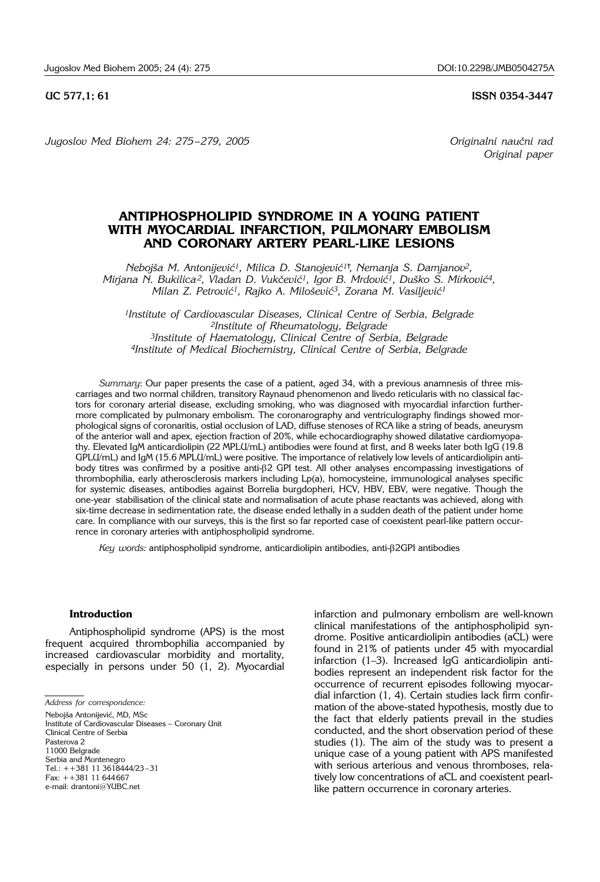**UC 577,1; 61 ISSN 0354-3447** 

*Jugoslov Med Biohem 24: 275 – 279, 2005 Originalni nau~ni rad*

*Original paper*

# **ANTIPHOSPHOLIPID SYNDROME IN A YOUNG PATIENT WITH MYOCARDIAL INFARCTION, PULMONARY EMBOLISM AND CORONARY ARTERY PEARL-LIKE LESIONS**

*Neboj{a M. Antonijevi}1, Milica D. Stanojevi}1 , Nemanja S. Damjanov2, Mirjana N. Bukilica<sup>2</sup>, Vladan D. Vukčević<sup>1</sup>, Igor B. Mrdović<sup>1</sup>, Duško S. Mirković<sup>4</sup>, Milan Z. Petrović<sup>1</sup>, Rajko A. Milošević<sup>3</sup>, Zorana M. Vasiljević<sup>1</sup>* 

*1Institute of Cardiovascular Diseases, Clinical Centre of Serbia, Belgrade 2Institute of Rheumatology, Belgrade 3Institute of Haematology, Clinical Centre of Serbia, Belgrade 4Institute of Medical Biochemistry, Clinical Centre of Serbia, Belgrade*

*Summary*: Our paper presents the case of a patient, aged 34, with a previous anamnesis of three miscarriages and two normal children, transitory Raynaud phenomenon and livedo reticularis with no classical factors for coronary arterial disease, excluding smoking, who was diagnosed with myocardial infarction furthermore complicated by pulmonary embolism. The coronarography and ventriculography findings showed morphological signs of coronaritis, ostial occlusion of LAD, diffuse stenoses of RCA like a string of beads, aneurysm of the anterior wall and apex, ejection fraction of 20%, while echocardiography showed dilatative cardiomyopathy. Elevated IgM anticardiolipin (22 MPLU/mL) antibodies were found at first, and 8 weeks later both IgG (19.8 GPLU/mL) and IgM (15.6 MPLU/mL) were positive. The importance of relatively low levels of anticardiolipin antibody titres was confirmed by a positive anti-b2 GPI test. All other analyses encompassing investigations of thrombophilia, early atherosclerosis markers including Lp(a), homocysteine, immunological analyses specific for systemic diseases, antibodies against Borrelia burgdopheri, HCV, HBV, EBV, were negative. Though the one-year stabilisation of the clinical state and normalisation of acute phase reactants was achieved, along with six-time decrease in sedimentation rate, the disease ended lethally in a sudden death of the patient under home care. In compliance with our surveys, this is the first so far reported case of coexistent pearl-like pattern occurrence in coronary arteries with antiphospholipid syndrome.

Key words: antiphospholipid syndrome, anticardiolipin antibodies, anti- $\beta$ 2GPI antibodies

#### **Introduction**

Antiphospholipid syndrome (APS) is the most frequent acquired thrombophilia accompanied by increased cardiovascular morbidity and mortality, especially in persons under 50 (1, 2). Myocardial

Nebojša Antonijević, MD, MSc Institute of Cardiovascular Diseases - Coronary Unit

Clinical Centre of Serbia

11000 Belgrade Serbia and Montenegro

Tel.:  $+1381$  11 3618444/23-31

Fax: ++381 11 644667 e-mail: drantoni@YUBC.net drome. Positive anticardiolipin antibodies (aCL) were found in 21% of patients under 45 with myocardial infarction  $(1-3)$ . Increased IgG anticardiolipin antibodies represent an independent risk factor for the occurrence of recurrent episodes following myocardial infarction (1, 4). Certain studies lack firm confirmation of the above-stated hypothesis, mostly due to the fact that elderly patients prevail in the studies conducted, and the short observation period of these studies (1). The aim of the study was to present a unique case of a young patient with APS manifested with serious arterious and venous thromboses, relatively low concentrations of aCL and coexistent pearllike pattern occurrence in coronary arteries.

infarction and pulmonary embolism are well-known clinical manifestations of the antiphospholipid syn-

*Address for correspondence:*

Pasterova 2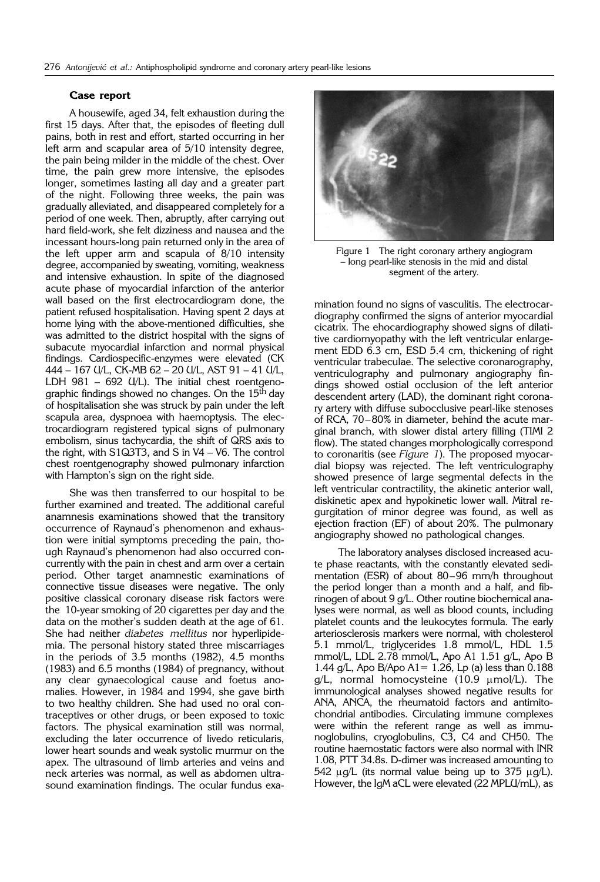## **Case report**

A housewife, aged 34, felt exhaustion during the first 15 days. After that, the episodes of fleeting dull pains, both in rest and effort, started occurring in her left arm and scapular area of 5/10 intensity degree, the pain being milder in the middle of the chest. Over time, the pain grew more intensive, the episodes longer, sometimes lasting all day and a greater part of the night. Following three weeks, the pain was gradually alleviated, and disappeared completely for a period of one week. Then, abruptly, after carrying out hard field-work, she felt dizziness and nausea and the incessant hours-long pain returned only in the area of the left upper arm and scapula of 8/10 intensity degree, accompanied by sweating, vomiting, weakness and intensive exhaustion. In spite of the diagnosed acute phase of myocardial infarction of the anterior wall based on the first electrocardiogram done, the patient refused hospitalisation. Having spent 2 days at home lying with the above-mentioned difficulties, she was admitted to the district hospital with the signs of subacute myocardial infarction and normal physical findings. Cardiospecific-enzymes were elevated (CK 444 - 167 U/L, CK-MB 62 - 20 U/L, AST 91 - 41 U/L, LDH 981  $-$  692 U/L). The initial chest roentgenographic findings showed no changes. On the 15<sup>th</sup> day of hospitalisation she was struck by pain under the left scapula area, dyspnoea with haemoptysis. The electrocardiogram registered typical signs of pulmonary embolism, sinus tachycardia, the shift of QRS axis to the right, with S1Q3T3, and S in  $V4 - V6$ . The control chest roentgenography showed pulmonary infarction with Hampton's sign on the right side.

She was then transferred to our hospital to be further examined and treated. The additional careful anamnesis examinations showed that the transitory occurrence of Raynaud's phenomenon and exhaustion were initial symptoms preceding the pain, though Raynaud's phenomenon had also occurred concurrently with the pain in chest and arm over a certain period. Other target anamnestic examinations of connective tissue diseases were negative. The only positive classical coronary disease risk factors were the 10-year smoking of 20 cigarettes per day and the data on the mother's sudden death at the age of 61. She had neither *diabetes mellitus* nor hyperlipidemia. The personal history stated three miscarriages in the periods of 3.5 months (1982), 4.5 months (1983) and 6.5 months (1984) of pregnancy, without any clear gynaecological cause and foetus anomalies. However, in 1984 and 1994, she gave birth to two healthy children. She had used no oral contraceptives or other drugs, or been exposed to toxic factors. The physical examination still was normal, excluding the later occurrence of livedo reticularis, lower heart sounds and weak systolic murmur on the apex. The ultrasound of limb arteries and veins and neck arteries was normal, as well as abdomen ultrasound examination findings. The ocular fundus exa-



Figure 1 The right coronary arthery angiogram - long pearl-like stenosis in the mid and distal segment of the artery.

mination found no signs of vasculitis. The electrocardiography confirmed the signs of anterior myocardial cicatrix. The ehocardiography showed signs of dilatitive cardiomyopathy with the left ventricular enlargement EDD 6.3 cm, ESD 5.4 cm, thickening of right ventricular trabeculae. The selective coronarography, ventriculography and pulmonary angiography findings showed ostial occlusion of the left anterior descendent artery (LAD), the dominant right coronary artery with diffuse subocclusive pearl-like stenoses of RCA, 70-80% in diameter, behind the acute marginal branch, with slower distal artery filling (TIMI 2 flow). The stated changes morphologically correspond to coronaritis (see *Figure 1*). The proposed myocardial biopsy was rejected. The left ventriculography showed presence of large segmental defects in the left ventricular contractility, the akinetic anterior wall, diskinetic apex and hypokinetic lower wall. Mitral regurgitation of minor degree was found, as well as ejection fraction (EF) of about 20%. The pulmonary angiography showed no pathological changes.

The laboratory analyses disclosed increased acute phase reactants, with the constantly elevated sedimentation (ESR) of about 80-96 mm/h throughout the period longer than a month and a half, and fibrinogen of about 9 g/L. Other routine biochemical analyses were normal, as well as blood counts, including platelet counts and the leukocytes formula. The early arteriosclerosis markers were normal, with cholesterol 5.1 mmol/L, triglycerides 1.8 mmol/L, HDL 1.5 mmol/L, LDL 2.78 mmol/L, Apo A1 1.51 g/L, Apo B 1.44 g/L, Apo B/Apo A1= 1.26, Lp (a) less than 0.188  $g/L$ , normal homocysteine (10.9  $\mu$ mol/L). The immunological analyses showed negative results for ANA, ANCA, the rheumatoid factors and antimitochondrial antibodies. Circulating immune complexes were within the referent range as well as immunoglobulins, cryoglobulins, C3, C4 and CH50. The routine haemostatic factors were also normal with INR 1.08, PTT 34.8s. D-dimer was increased amounting to 542  $\mu$ g/L (its normal value being up to 375  $\mu$ g/L). However, the IgM aCL were elevated (22 MPLU/mL), as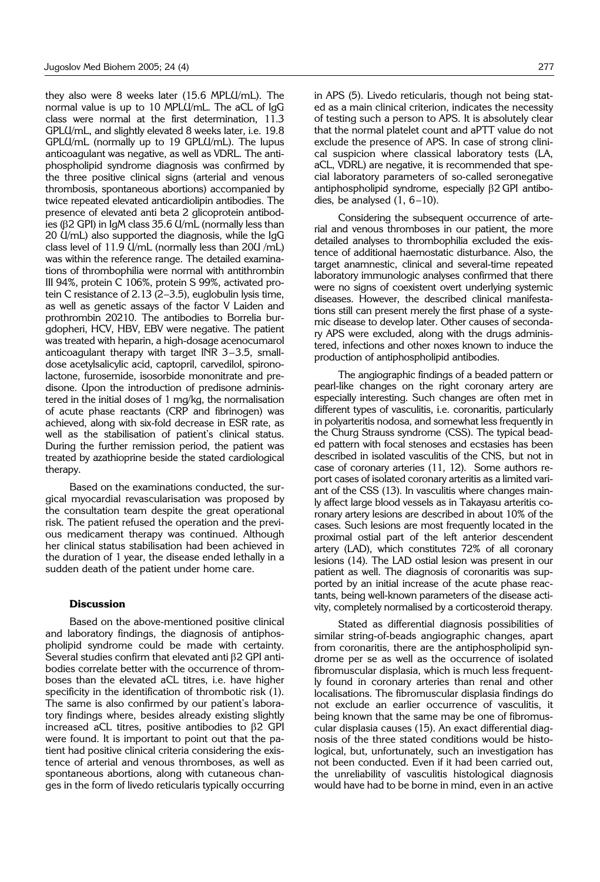they also were 8 weeks later (15.6 MPLU/mL). The normal value is up to 10 MPLU/mL. The aCL of IgG class were normal at the first determination, 11.3 GPLU/mL, and slightly elevated 8 weeks later, i.e. 19.8 GPLU/mL (normally up to 19 GPLU/mL). The lupus anticoagulant was negative, as well as VDRL. The antiphospholipid syndrome diagnosis was confirmed by the three positive clinical signs (arterial and venous thrombosis, spontaneous abortions) accompanied by twice repeated elevated anticardiolipin antibodies. The presence of elevated anti beta 2 glicoprotein antibodies (b2 GPI) in IgM class 35.6 U/mL (normally less than 20 U/mL) also supported the diagnosis, while the IgG class level of 11.9 U/mL (normally less than 20U /mL) was within the reference range. The detailed examinations of thrombophilia were normal with antithrombin III 94%, protein C 106%, protein S 99%, activated protein C resistance of 2.13 (2-3.5), euglobulin lysis time, as well as genetic assays of the factor V Laiden and prothrombin 20210. The antibodies to Borrelia burgdopheri, HCV, HBV, EBV were negative. The patient was treated with heparin, a high-dosage acenocumarol anticoagulant therapy with target INR  $3-3.5$ , smalldose acetylsalicylic acid, captopril, carvedilol, spironolactone, furosemide, isosorbide mononitrate and predisone. Upon the introduction of predisone administered in the initial doses of 1 mg/kg, the normalisation of acute phase reactants (CRP and fibrinogen) was achieved, along with six-fold decrease in ESR rate, as well as the stabilisation of patient's clinical status. During the further remission period, the patient was treated by azathioprine beside the stated cardiological therapy.

Based on the examinations conducted, the surgical myocardial revascularisation was proposed by the consultation team despite the great operational risk. The patient refused the operation and the previous medicament therapy was continued. Although her clinical status stabilisation had been achieved in the duration of 1 year, the disease ended lethally in a sudden death of the patient under home care.

## **Discussion**

Based on the above-mentioned positive clinical and laboratory findings, the diagnosis of antiphospholipid syndrome could be made with certainty. Several studies confirm that elevated anti  $\beta$ 2 GPI antibodies correlate better with the occurrence of thromboses than the elevated aCL titres, i.e. have higher specificity in the identification of thrombotic risk (1). The same is also confirmed by our patient's laboratory findings where, besides already existing slightly increased aCL titres, positive antibodies to  $\beta$ 2 GPI were found. It is important to point out that the patient had positive clinical criteria considering the existence of arterial and venous thromboses, as well as spontaneous abortions, along with cutaneous changes in the form of livedo reticularis typically occurring

in APS (5). Livedo reticularis, though not being stated as a main clinical criterion, indicates the necessity of testing such a person to APS. It is absolutely clear that the normal platelet count and aPTT value do not exclude the presence of APS. In case of strong clinical suspicion where classical laboratory tests (LA, aCL, VDRL) are negative, it is recommended that special laboratory parameters of so-called seronegative antiphospholipid syndrome, especially  $\beta$ 2 GPI antibodies, be analysed  $(1, 6-10)$ .

Considering the subsequent occurrence of arterial and venous thromboses in our patient, the more detailed analyses to thrombophilia excluded the existence of additional haemostatic disturbance. Also, the target anamnestic, clinical and several-time repeated laboratory immunologic analyses confirmed that there were no signs of coexistent overt underlying systemic diseases. However, the described clinical manifestations still can present merely the first phase of a systemic disease to develop later. Other causes of secondary APS were excluded, along with the drugs administered, infections and other noxes known to induce the production of antiphospholipid antibodies.

The angiographic findings of a beaded pattern or pearl-like changes on the right coronary artery are especially interesting. Such changes are often met in different types of vasculitis, i.e. coronaritis, particularly in polyarteritis nodosa, and somewhat less frequently in the Churg Strauss syndrome (CSS). The typical beaded pattern with focal stenoses and ecstasies has been described in isolated vasculitis of the CNS, but not in case of coronary arteries (11, 12). Some authors report cases of isolated coronary arteritis as a limited variant of the CSS (13). In vasculitis where changes mainly affect large blood vessels as in Takayasu arteritis coronary artery lesions are described in about 10% of the cases. Such lesions are most frequently located in the proximal ostial part of the left anterior descendent artery (LAD), which constitutes 72% of all coronary lesions (14). The LAD ostial lesion was present in our patient as well. The diagnosis of coronaritis was supported by an initial increase of the acute phase reactants, being well-known parameters of the disease activity, completely normalised by a corticosteroid therapy.

Stated as differential diagnosis possibilities of similar string-of-beads angiographic changes, apart from coronaritis, there are the antiphospholipid syndrome per se as well as the occurrence of isolated fibromuscular displasia, which is much less frequently found in coronary arteries than renal and other localisations. The fibromuscular displasia findings do not exclude an earlier occurrence of vasculitis, it being known that the same may be one of fibromuscular displasia causes (15). An exact differential diagnosis of the three stated conditions would be histological, but, unfortunately, such an investigation has not been conducted. Even if it had been carried out, the unreliability of vasculitis histological diagnosis would have had to be borne in mind, even in an active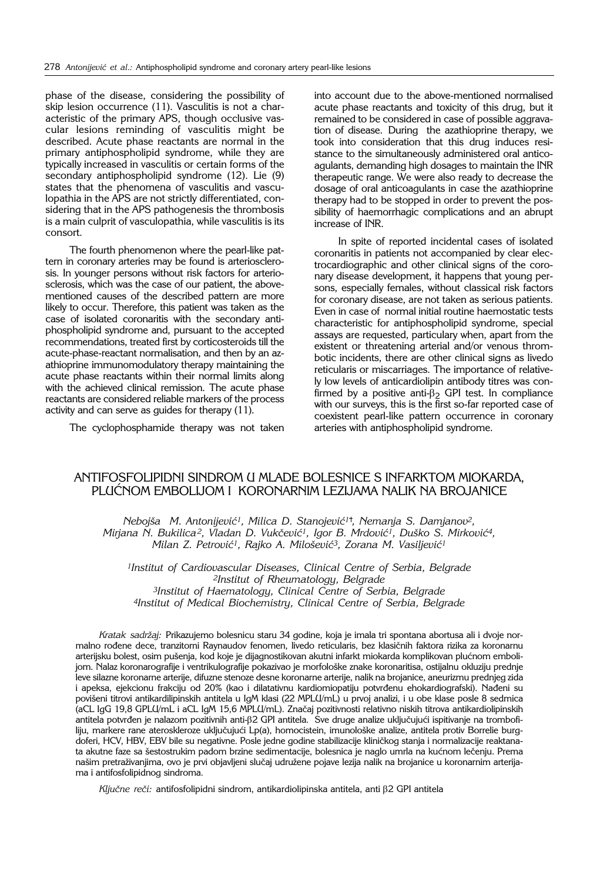phase of the disease, considering the possibility of skip lesion occurrence (11). Vasculitis is not a characteristic of the primary APS, though occlusive vascular lesions reminding of vasculitis might be described. Acute phase reactants are normal in the primary antiphospholipid syndrome, while they are typically increased in vasculitis or certain forms of the secondary antiphospholipid syndrome (12). Lie (9) states that the phenomena of vasculitis and vasculopathia in the APS are not strictly differentiated, considering that in the APS pathogenesis the thrombosis is a main culprit of vasculopathia, while vasculitis is its consort.

The fourth phenomenon where the pearl-like pattern in coronary arteries may be found is arteriosclerosis. In younger persons without risk factors for arteriosclerosis, which was the case of our patient, the abovementioned causes of the described pattern are more likely to occur. Therefore, this patient was taken as the case of isolated coronaritis with the secondary antiphospholipid syndrome and, pursuant to the accepted recommendations, treated first by corticosteroids till the acute-phase-reactant normalisation, and then by an azathioprine immunomodulatory therapy maintaining the acute phase reactants within their normal limits along with the achieved clinical remission. The acute phase reactants are considered reliable markers of the process activity and can serve as guides for therapy (11).

The cyclophosphamide therapy was not taken

into account due to the above-mentioned normalised acute phase reactants and toxicity of this drug, but it remained to be considered in case of possible aggravation of disease. During the azathioprine therapy, we took into consideration that this drug induces resistance to the simultaneously administered oral anticoagulants, demanding high dosages to maintain the INR therapeutic range. We were also ready to decrease the dosage of oral anticoagulants in case the azathioprine therapy had to be stopped in order to prevent the possibility of haemorrhagic complications and an abrupt increase of INR.

In spite of reported incidental cases of isolated coronaritis in patients not accompanied by clear electrocardiographic and other clinical signs of the coronary disease development, it happens that young persons, especially females, without classical risk factors for coronary disease, are not taken as serious patients. Even in case of normal initial routine haemostatic tests characteristic for antiphospholipid syndrome, special assays are requested, particulary when, apart from the existent or threatening arterial and/or venous thrombotic incidents, there are other clinical signs as livedo reticularis or miscarriages. The importance of relatively low levels of anticardiolipin antibody titres was confirmed by a positive anti- $\beta_2$  GPI test. In compliance with our surveys, this is the first so-far reported case of coexistent pearl-like pattern occurrence in coronary arteries with antiphospholipid syndrome.

## ANTIFOSFOLIPIDNI SINDROM U MLADE BOLESNICE S INFARKTOM MIOKARDA, PLU]NOM EMBOLIJOM I KORONARNIM LEZIJAMA NALIK NA BROJANICE

*Neboj{a M. Antonijevi}1, Milica D. Stanojevi}1 , Nemanja S. Damjanov2, Mirjana N. Bukilica<sup>2</sup>, Vladan D. Vukčević<sup>1</sup>, Igor B. Mrdović<sup>1</sup>, Duško S. Mirković<sup>4</sup>, Milan Z. Petrović<sup>1</sup>, Rajko A. Milošević<sup>3</sup>, Zorana M. Vasiljević<sup>1</sup>* 

*1Institut of Cardiovascular Diseases, Clinical Centre of Serbia, Belgrade 2Institut of Rheumatology, Belgrade 3Institut of Haematology, Clinical Centre of Serbia, Belgrade 4Institut of Medical Biochemistry, Clinical Centre of Serbia, Belgrade*

*Kratak sadr`aj:* Prikazujemo bolesnicu staru 34 godine, koja je imala tri spontana abortusa ali i dvoje normalno rođene dece, tranzitorni Raynaudov fenomen, livedo reticularis, bez klasičnih faktora rizika za koronarnu arterijsku bolest, osim pušenja, kod koje je dijagnostikovan akutni infarkt miokarda komplikovan plućnom embolijom. Nalaz koronarografije i ventrikulografije pokazivao je morfološke znake koronaritisa, ostijalnu okluziju prednje leve silazne koronarne arterije, difuzne stenoze desne koronarne arterije, nalik na brojanice, aneurizmu prednjeg zida i apeksa, ejekcionu frakciju od 20% (kao i dilatativnu kardiomiopatiju potvrđenu ehokardiografski). Nađeni su povišeni titrovi antikardilipinskih antitela u IgM klasi (22 MPLU/mL) u prvoj analizi, i u obe klase posle 8 sedmica (aCL IgG 19,8 GPLU/mL i aCL IgM 15,6 MPLU/mL). Značaj pozitivnosti relativno niskih titrova antikardiolipinskih antitela potvrđen je nalazom pozitivnih anti- $\beta$ 2 GPI antitela. Sve druge analize uključujući ispitivanje na trombofiliju, markere rane ateroskleroze uključujući Lp(a), homocistein, imunološke analize, antitela protiv Borrelie burgdoferi, HCV, HBV, EBV bile su negativne. Posle jedne godine stabilizacije kliničkog stanja i normalizacije reaktanata akutne faze sa šestostrukim padom brzine sedimentacije, bolesnica je naglo umrla na kućnom lečenju. Prema našim pretraživanjima, ovo je prvi objavljeni slučaj udružene pojave lezija nalik na brojanice u koronarnim arterijama i antifosfolipidnog sindroma.

*Ključne reči:* antifosfolipidni sindrom, antikardiolipinska antitela, anti β2 GPI antitela